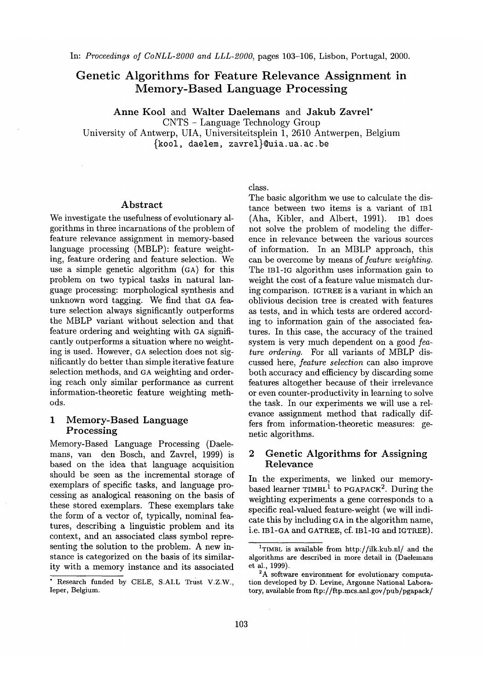# **Genetic Algorithms for Feature Relevance Assignment in Memory-Based Language Processing**

Anne Kool and Walter Daelemans and Jakub Zavrel\*

CNTS - Language Technology Group

University of Antwerp, UIA, Universiteitsplein 1, 2610 Antwerpen, Belgium {kool, daelem, zavrel}@uia.ua.ac.be

#### Abstract

We investigate the usefulness of evolutionary algorithms in three incarnations of the problem of feature relevance assignment in memory-based language processing (MBLP): feature weighting, feature ordering and feature selection. We use a simple genetic algorithm (GA) for this problem on two typical tasks in natural language processing: morphological synthesis and unknown word tagging. We find that GA feature selection always significantly outperforms the MBLP variant without selection and that feature ordering and weighting with CA significantly outperforms a situation where no weighting is used. However, GA selection does not significantly do better than simple iterative feature selection methods, and GA weighting and ordering reach only similar performance as current information-theoretic feature weighting methods.

# 1 Memory-Based Language Processing

Memory-Based Language Processing (Daelemans, van den Bosch, and Zavrel, 1999) is based on the idea that language acquisition should be seen as the incremental storage of exemplars of specific tasks, and language processing as analogical reasoning on the basis of these stored exemplars. These exemplars take the form of a vector of, typically, nominal features, describing a linguistic problem and its context, and an associated class symbol representing the solution to the problem. A new instance is categorized on the basis of its similarity with a memory instance and its associated class.

The basic algorithm we use to calculate the distance between two items is a variant of IB1 (Aha, Kibler, and Albert, 1991). IB1 does not solve the problem of modeling the difference in relevance between the various sources of information. In an MBLP approach, this can be overcome by means of *feature weighting.*  The IBi-IG algorithm uses information gain to weight the cost of a feature value mismatch during comparison. IGTREE is a variant in which an oblivious decision tree is created with features as tests, and in which tests are ordered according to information gain of the associated features. In this case, the accuracy of the trained system is very much dependent on a good *feature ordering.* For all variants of MBLP discussed here, *feature selection* can also improve both accuracy and efficiency by discarding some features altogether because of their irrelevance or even counter-productivity in learning to solve the task. In our experiments we will use a relevance assignment method that radically differs from information-theoretic measures: genetic algorithms.

# 2 Genetic Algorithms for Assigning Relevance

In the experiments, we linked our memorybased learner TIMBL<sup>1</sup> to PGAPACK<sup>2</sup>. During the weighting experiments a gene corresponds to a specific real-valued feature-weight (we will indicate this by including GA in the algorithm name, i.e. IB1-GA and GATREE, cf. IBi-IG and IGTREE).

<sup>\*</sup> Research funded by CELE, S.AI.L Trust V.Z.W., Ieper, Belgium.

<sup>1</sup>TIMBL is available from http://ilk.kub.nl/ and the algorithms are described in more detail in (Daelemans et al., 1999).

<sup>&</sup>lt;sup>2</sup>A software environment for evolutionary computation developed by D. Levine, Argonne National Laboratory, available from ftp://ftp.mcs.anl.gov/pub/pgapack/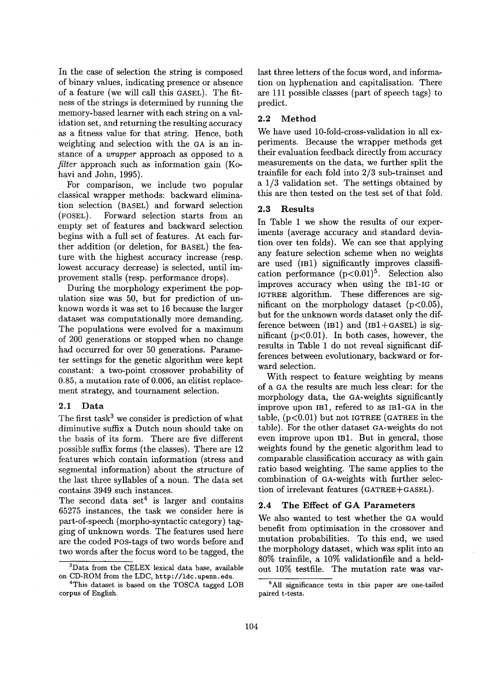In the case of selection the string is composed of binary values, indicating presence or absence of a feature (we will call this GASEL). The fitness of the strings is determined by running the memory-based learner with each string on a validation set, and returning the resulting accuracy as a fitness value for that string. Hence, both weighting and selection with the GA is an instance of a *wrapper* approach as opposed to a *filter* approach such as information gain (Kohavi and John, 1995).

For comparison, we include two popular classical wrapper methods: backward elimination selection (BASEL) and forward selection (FOSEL). Forward selection starts from an empty set of features and backward selection begins with a full set of features. At each further addition (or deletion, for BASEL) the feature with the highest accuracy increase (resp. lowest accuracy decrease) is selected, until improvement stalls (resp. performance drops).

During the morphology experiment the population size was 50, but for prediction of unknown words it was set to 16 because the larger dataset was computationally more demanding. The populations were evolved for a maximum of 200 generations or stopped when no change had occurred for over 50 generations. Parameter settings for the genetic algorithm were kept constant: a two-point crossover probability of 0.85, a mutation rate of 0.006, an elitist replacement strategy, and tournament selection.

# 2.1 Data

The first task<sup>3</sup> we consider is prediction of what diminutive suffix a Dutch noun should take on the basis of its form. There are five different possible suffix forms (the classes). There are 12 features which contain information (stress and segmental information) about the structure of the last three syllables of a noun. The data set contains 3949 such instances.

The second data set<sup>4</sup> is larger and contains 65275 instances, the task we consider here is part-of-speech (morpho-syntactic category) tagging of unknown words. The features used here are the coded POS-tags of two words before and two words after the focus word to be tagged, the last three letters of the focus word, and information on hyphenation and capitalisation. There are 111 possible classes (part of speech tags) to predict.

# 2.2 Method

We have used 10-fold-cross-validation in all experiments. Because the wrapper methods get their evaluation feedback directly from accuracy measurements on the data, we further split the trainfile for each fold into 2/3 sub-trainset and a 1/3 validation set. The settings obtained by this are then tested on the test set of that fold.

#### 2,3 Results

In Table 1 we show the results of our experiments (average accuracy and standard deviation over ten folds). We can see that applying any feature selection scheme when no weights are used (IB1) significantly improves classification performance  $(p<0.01)^5$ . Selection also improves accuracy when using the IBI-IG or IGTREE algorithm. These differences are significant on the morphology dataset  $(p<0.05)$ , but for the unknown words dataset only the difference between  $(IB1)$  and  $(IB1+GASEL)$  is significant  $(p<0.01)$ . In both cases, however, the results in Table 1 do not reveal significant differences between evolutionary, backward or forward selection.

With respect to feature weighting by means of a GA the results are much less clear: for the morphology data, the GA-weights significantly improve upon IB1, refered to as IB1-GA in the table,  $(p<0.01)$  but not IGTREE (GATREE in the table). For the other dataset OA-weights do not even improve upon IB1. But in general, those weights found by the genetic algorithm lead to comparable classification accuracy as with gain ratio based weighting. The same applies to the combination of aA-weights with further selection of irrelevant features (GATREE+GASEL).

### 2.4 The Effect of GA Parameters

We also wanted to test whether the GA would benefit from optimisation in the crossover and mutation probabilities. To this end, we used the morphology dataset, which was split into an 80% trainfile, a 10% validationfile and a heldout 10% testfile. The mutation rate was var-

<sup>3</sup>Data from the CELEX lexical data base, available on CD-ROM from the LDC, http://ldc.upenn, edu.

<sup>&</sup>lt;sup>4</sup>This dataset is based on the TOSCA tagged LOB corpus of English.

<sup>&</sup>lt;sup>5</sup>All significance tests in this paper are one-tailed paired t-tests.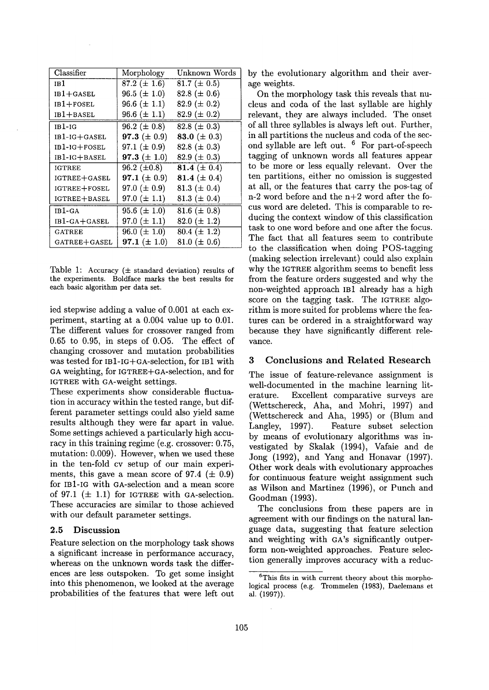| Classifier          | Morphology        | Unknown Words     |
|---------------------|-------------------|-------------------|
| 1B 1                | 87.2 $(\pm 1.6)$  | 81.7 ( $\pm$ 0.5) |
| $IB1+GASEL$         | 96.5 ( $\pm$ 1.0) | 82.8 ( $\pm$ 0.6) |
| $IB1+FOSEL$         | 96.6 $(\pm 1.1)$  | 82.9 ( $\pm$ 0.2) |
| $IB1+BASEL$         | 96.6 $(\pm 1.1)$  | 82.9 ( $\pm$ 0.2) |
| $IB1-IG$            | 96.2 ( $\pm$ 0.8) | 82.8 ( $\pm$ 0.3) |
| $IB1-IG+GASEL$      | 97.3 $(\pm 0.9)$  | 83.0 ( $\pm$ 0.3) |
| IB1-IG+FOSEL        | 97.1 ( $\pm$ 0.9) | 82.8 ( $\pm$ 0.3) |
| IB1-IG+BASEL        | 97.3 $(\pm 1.0)$  | 82.9 ( $\pm$ 0.3) |
| <b>IGTREE</b>       | 96.2 $(\pm 0.8)$  | 81.4 ( $\pm$ 0.4) |
| <b>IGTREE+GASEL</b> | 97.1 ( $\pm$ 0.9) | 81.4 $(\pm 0.4)$  |
| IGTREE+FOSEL        | 97.0 ( $\pm$ 0.9) | 81.3 ( $\pm$ 0.4) |
| IGTREE+BASEL        | 97.0 $(\pm 1.1)$  | 81.3 ( $\pm$ 0.4) |
| $IB1-GA$            | 95.6 $(\pm 1.0)$  | 81.6 ( $\pm$ 0.8) |
| IB1-GA+GASEL        | 97.0 $(\pm 1.1)$  | 82.0 $(\pm 1.2)$  |
| <b>GATREE</b>       | 96.0 ( $\pm$ 1.0) | $80.4 (\pm 1.2)$  |
| GATREE+GASEL        | 97.1 $(\pm 1.0)$  | 81.0 ( $\pm$ 0.6) |

Table 1: Accuracy  $(\pm \text{ standard deviation})$  results of the experiments. Boldface marks the best results for each basic algorithm per data set.

ied stepwise adding a value of 0.001 at each experiment, starting at a 0.004 value up to 0.01. The different values for crossover ranged from 0.65 to 0.95, in steps of 0.05. The effect of changing crossover and mutation probabilities was tested for IBl-IG+GA-selection, for IB1 with CA weighting, for IGTREE+GA-selection, and for IGTREE with GA-weight settings.

These experiments show considerable fluctuation in accuracy within the tested range, but different parameter settings could also yield same results although they were far apart in value. Some settings achieved a particularly high accuracy in this training regime (e.g. crossover: 0.75, mutation: 0.009). However, when we used these in the ten-fold cv setup of our main experiments, this gave a mean score of 97.4 ( $\pm$  0.9) for IBi-IG with CA-selection and a mean score of 97.1  $(\pm 1.1)$  for IGTREE with GA-selection. These accuracies are similar to those achieved with our default parameter settings.

# **2.5 Discussion**

Feature selection on the morphology task shows a significant increase in performance accuracy, whereas on the unknown words task the differences are less outspoken. To get some insight into this phenomenon, we looked at the average probabilities of the features that were left out

by the evolutionary algorithm and their average weights.

On the morphology task this reveals that nucleus and coda of the last syllable are highly relevant, they are always included. The onset of all three syllables is always left out. Further, in all partitions the nucleus and coda of the second syllable are left out. 6 For part-of-speech tagging of unknown words all features appear to be more or less equally relevant. Over the ten partitions, either no omission is suggested at all, or the features that carry the pos-tag of n-2 word before and the n+2 word after the focus word are deleted. This is comparable to reducing the context window of this classification task to one word before and one after the focus. The fact that all features seem to contribute to the classification when doing POS-tagging (making selection irrelevant) could also explain why the IGTREE algorithm seems to benefit less from the feature orders suggested and why the non-weighted approach IB1 already has a high score on the tagging task. The IGTREE algorithm is more suited for problems where the features can be ordered in a straightforward way because they have significantly different relevance.

# 3 Conclusions and Related Research

The issue of feature-relevance assignment is well-documented in the machine learning literature. Excellent comparative surveys are (Wettschereck, Aha, and Mohri, 1997) and (Wettschereck and Aha, 1995) or (Blum and Langley, 1997). Feature subset selection by means of evolutionary algorithms was investigated by Skalak (1994), Vafaie and de Jong (1992), and Yang and Honavar (1997). Other work deals with evolutionary approaches for continuous feature weight assignment such as Wilson and Martinez (1996), or Punch and Goodman (1993).

The conclusions from these papers are in agreement with our findings on the natural language data, suggesting that feature selection and weighting with GA's significantly outperform non-weighted approaches. Feature selection generally improves accuracy with a reduc-

 ${}^{6}$ This fits in with current theory about this morphological process (e.g. Trommelen (1983), Daelemans et al. (1997)).